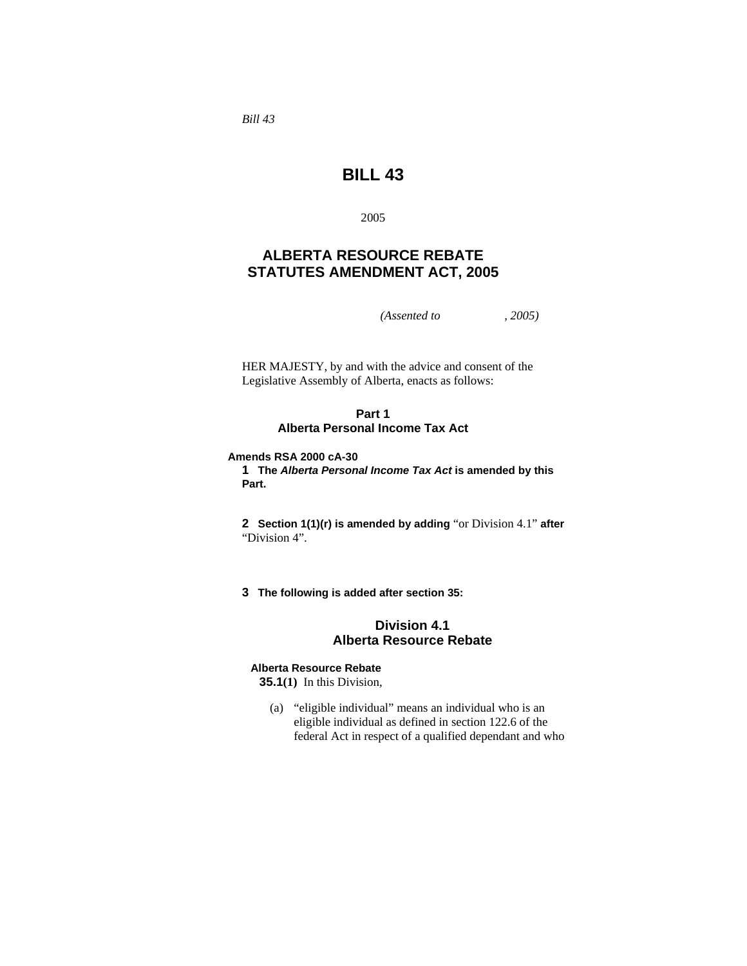*Bill 43* 

# **BILL 43**

2005

# **ALBERTA RESOURCE REBATE STATUTES AMENDMENT ACT, 2005**

*(Assented to , 2005)* 

HER MAJESTY, by and with the advice and consent of the Legislative Assembly of Alberta, enacts as follows:

## **Part 1 Alberta Personal Income Tax Act**

**Amends RSA 2000 cA-30** 

**1 The** *Alberta Personal Income Tax Act* **is amended by this Part.**

**2 Section 1(1)(r) is amended by adding** "or Division 4.1" **after**  "Division 4".

**3 The following is added after section 35:**

# **Division 4.1 Alberta Resource Rebate**

# **Alberta Resource Rebate**

**35.1(1)** In this Division,

 (a) "eligible individual" means an individual who is an eligible individual as defined in section 122.6 of the federal Act in respect of a qualified dependant and who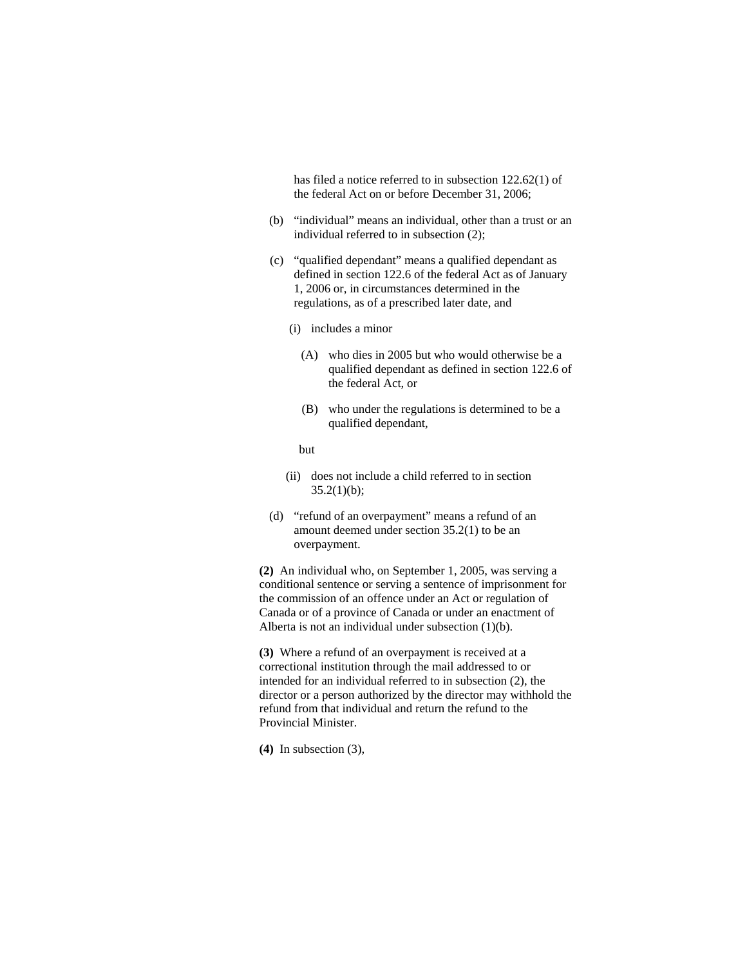has filed a notice referred to in subsection 122.62(1) of the federal Act on or before December 31, 2006;

- (b) "individual" means an individual, other than a trust or an individual referred to in subsection (2);
- (c) "qualified dependant" means a qualified dependant as defined in section 122.6 of the federal Act as of January 1, 2006 or, in circumstances determined in the regulations, as of a prescribed later date, and
	- (i) includes a minor
		- (A) who dies in 2005 but who would otherwise be a qualified dependant as defined in section 122.6 of the federal Act, or
		- (B) who under the regulations is determined to be a qualified dependant,
		- but
	- (ii) does not include a child referred to in section  $35.2(1)(b);$
- (d) "refund of an overpayment" means a refund of an amount deemed under section 35.2(1) to be an overpayment.

**(2)** An individual who, on September 1, 2005, was serving a conditional sentence or serving a sentence of imprisonment for the commission of an offence under an Act or regulation of Canada or of a province of Canada or under an enactment of Alberta is not an individual under subsection (1)(b).

**(3)** Where a refund of an overpayment is received at a correctional institution through the mail addressed to or intended for an individual referred to in subsection (2), the director or a person authorized by the director may withhold the refund from that individual and return the refund to the Provincial Minister.

**(4)** In subsection (3),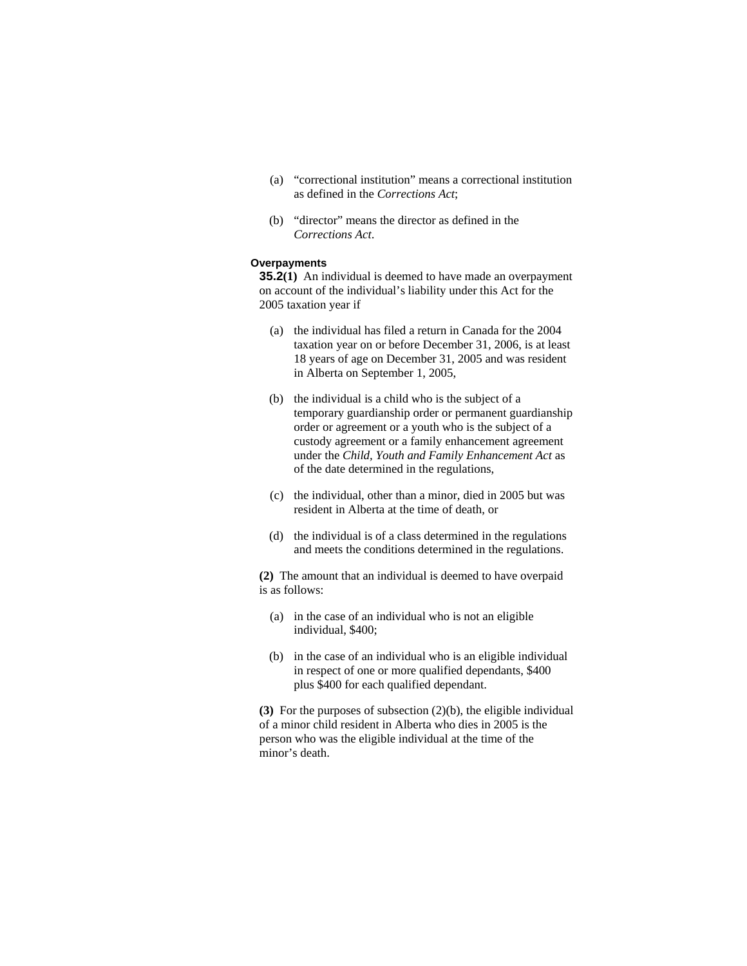- (a) "correctional institution" means a correctional institution as defined in the *Corrections Act*;
- (b) "director" means the director as defined in the *Corrections Act*.

#### **Overpayments**

**35.2(1)** An individual is deemed to have made an overpayment on account of the individual's liability under this Act for the 2005 taxation year if

- (a) the individual has filed a return in Canada for the 2004 taxation year on or before December 31, 2006, is at least 18 years of age on December 31, 2005 and was resident in Alberta on September 1, 2005,
- (b) the individual is a child who is the subject of a temporary guardianship order or permanent guardianship order or agreement or a youth who is the subject of a custody agreement or a family enhancement agreement under the *Child, Youth and Family Enhancement Act* as of the date determined in the regulations,
- (c) the individual, other than a minor, died in 2005 but was resident in Alberta at the time of death, or
- (d) the individual is of a class determined in the regulations and meets the conditions determined in the regulations.

**(2)** The amount that an individual is deemed to have overpaid is as follows:

- (a) in the case of an individual who is not an eligible individual, \$400;
- (b) in the case of an individual who is an eligible individual in respect of one or more qualified dependants, \$400 plus \$400 for each qualified dependant.

**(3)** For the purposes of subsection (2)(b), the eligible individual of a minor child resident in Alberta who dies in 2005 is the person who was the eligible individual at the time of the minor's death.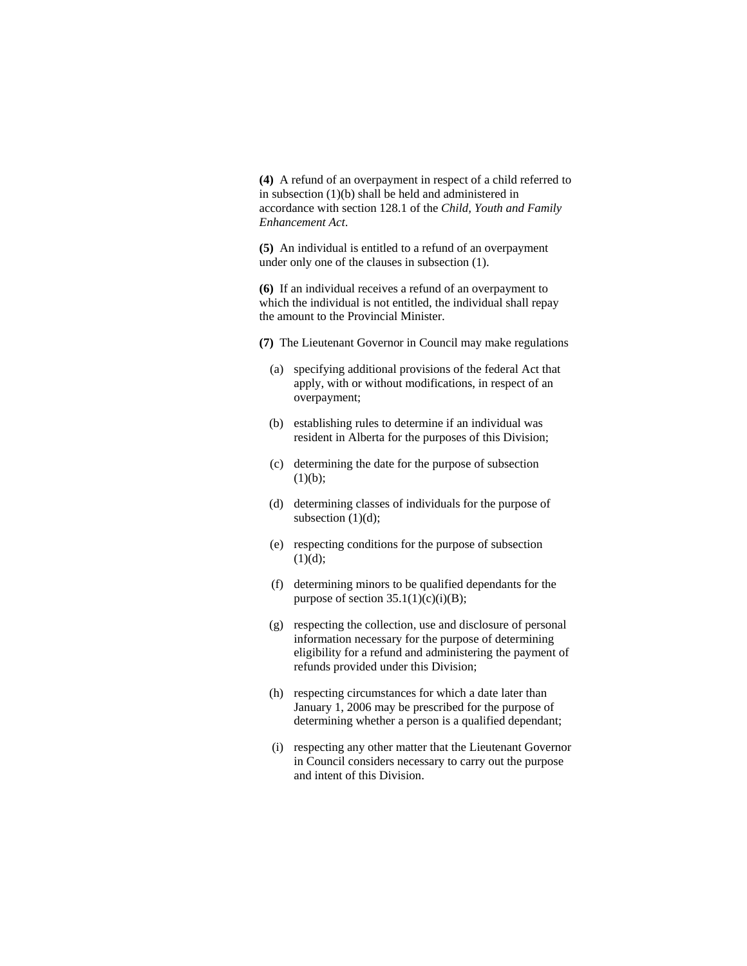**(4)** A refund of an overpayment in respect of a child referred to in subsection (1)(b) shall be held and administered in accordance with section 128.1 of the *Child, Youth and Family Enhancement Act*.

**(5)** An individual is entitled to a refund of an overpayment under only one of the clauses in subsection (1).

**(6)** If an individual receives a refund of an overpayment to which the individual is not entitled, the individual shall repay the amount to the Provincial Minister.

- **(7)** The Lieutenant Governor in Council may make regulations
	- (a) specifying additional provisions of the federal Act that apply, with or without modifications, in respect of an overpayment;
	- (b) establishing rules to determine if an individual was resident in Alberta for the purposes of this Division;
	- (c) determining the date for the purpose of subsection  $(1)(b);$
	- (d) determining classes of individuals for the purpose of subsection  $(1)(d)$ ;
	- (e) respecting conditions for the purpose of subsection  $(1)(d);$
	- (f) determining minors to be qualified dependants for the purpose of section  $35.1(1)(c)(i)(B)$ ;
	- (g) respecting the collection, use and disclosure of personal information necessary for the purpose of determining eligibility for a refund and administering the payment of refunds provided under this Division;
	- (h) respecting circumstances for which a date later than January 1, 2006 may be prescribed for the purpose of determining whether a person is a qualified dependant;
	- (i) respecting any other matter that the Lieutenant Governor in Council considers necessary to carry out the purpose and intent of this Division.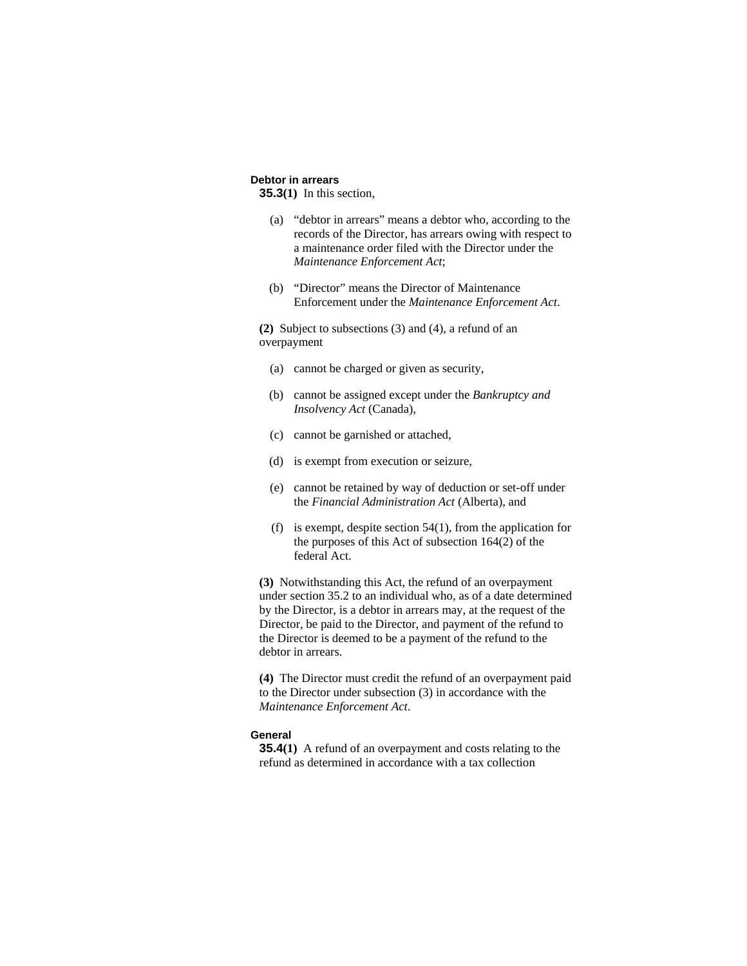# **Debtor in arrears**

**35.3(1)** In this section,

- (a) "debtor in arrears" means a debtor who, according to the records of the Director, has arrears owing with respect to a maintenance order filed with the Director under the *Maintenance Enforcement Act*;
- (b) "Director" means the Director of Maintenance Enforcement under the *Maintenance Enforcement Act*.

**(2)** Subject to subsections (3) and (4), a refund of an overpayment

- (a) cannot be charged or given as security,
- (b) cannot be assigned except under the *Bankruptcy and Insolvency Act* (Canada),
- (c) cannot be garnished or attached,
- (d) is exempt from execution or seizure,
- (e) cannot be retained by way of deduction or set-off under the *Financial Administration Act* (Alberta), and
- (f) is exempt, despite section 54(1), from the application for the purposes of this Act of subsection 164(2) of the federal Act.

**(3)** Notwithstanding this Act, the refund of an overpayment under section 35.2 to an individual who, as of a date determined by the Director, is a debtor in arrears may, at the request of the Director, be paid to the Director, and payment of the refund to the Director is deemed to be a payment of the refund to the debtor in arrears.

**(4)** The Director must credit the refund of an overpayment paid to the Director under subsection (3) in accordance with the *Maintenance Enforcement Act*.

#### **General**

**35.4(1)** A refund of an overpayment and costs relating to the refund as determined in accordance with a tax collection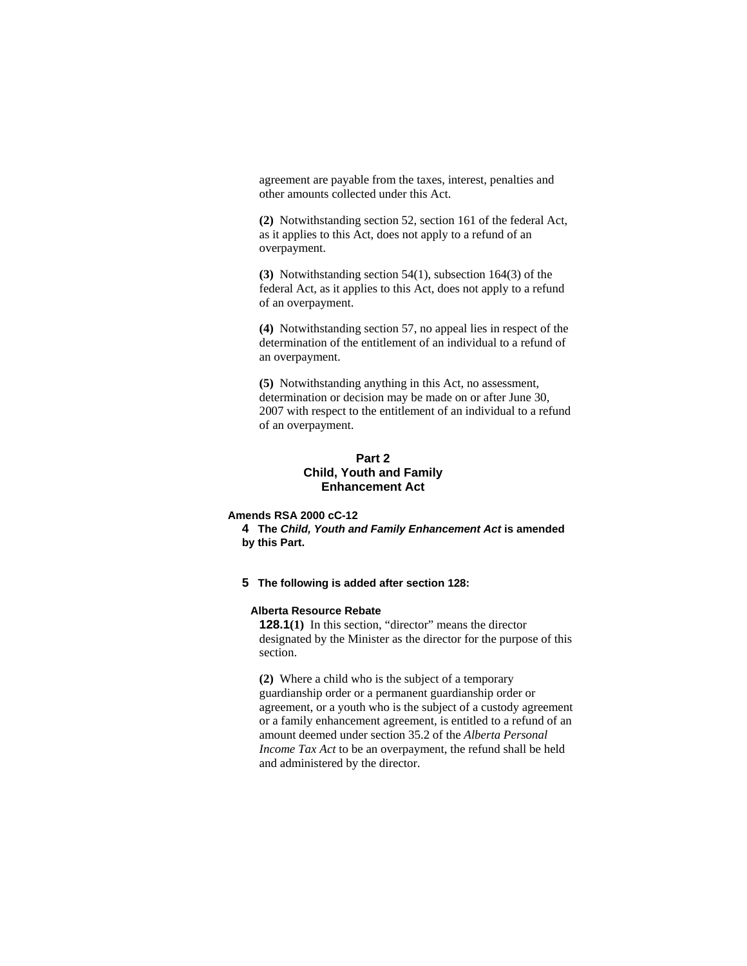agreement are payable from the taxes, interest, penalties and other amounts collected under this Act.

**(2)** Notwithstanding section 52, section 161 of the federal Act, as it applies to this Act, does not apply to a refund of an overpayment.

**(3)** Notwithstanding section 54(1), subsection 164(3) of the federal Act, as it applies to this Act, does not apply to a refund of an overpayment.

**(4)** Notwithstanding section 57, no appeal lies in respect of the determination of the entitlement of an individual to a refund of an overpayment.

**(5)** Notwithstanding anything in this Act, no assessment, determination or decision may be made on or after June 30, 2007 with respect to the entitlement of an individual to a refund of an overpayment.

# **Part 2 Child, Youth and Family Enhancement Act**

#### **Amends RSA 2000 cC-12**

**4 The** *Child, Youth and Family Enhancement Act* **is amended by this Part.**

**5 The following is added after section 128:** 

## **Alberta Resource Rebate**

**128.1**(1) In this section, "director" means the director designated by the Minister as the director for the purpose of this section.

**(2)** Where a child who is the subject of a temporary guardianship order or a permanent guardianship order or agreement, or a youth who is the subject of a custody agreement or a family enhancement agreement, is entitled to a refund of an amount deemed under section 35.2 of the *Alberta Personal Income Tax Act* to be an overpayment, the refund shall be held and administered by the director.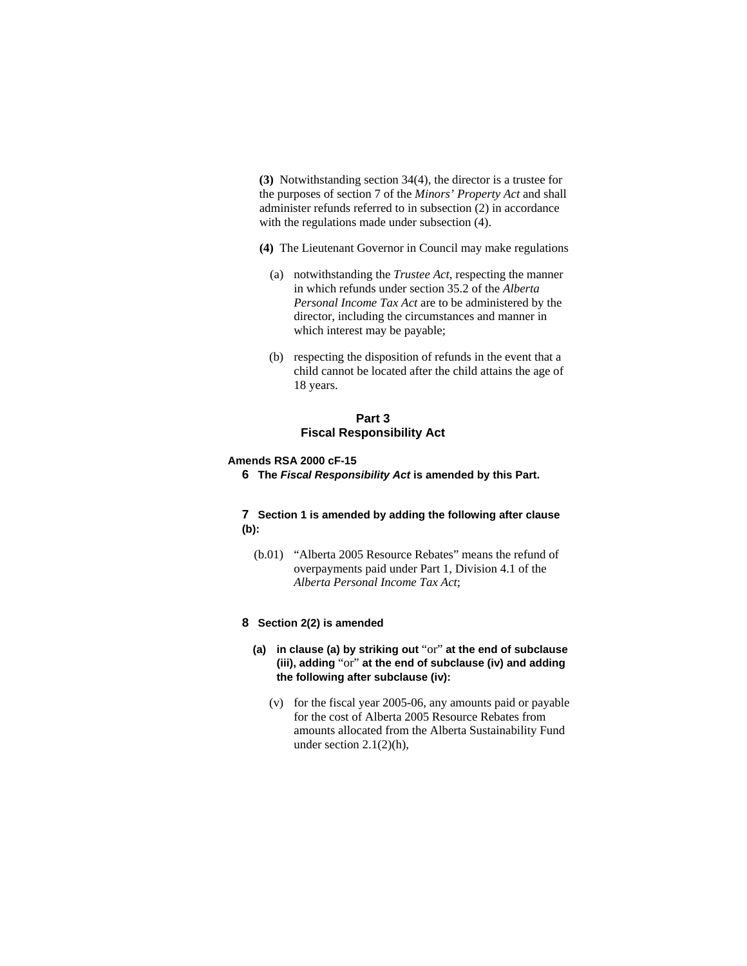**(3)** Notwithstanding section 34(4), the director is a trustee for the purposes of section 7 of the *Minors' Property Act* and shall administer refunds referred to in subsection (2) in accordance with the regulations made under subsection (4).

**(4)** The Lieutenant Governor in Council may make regulations

- (a) notwithstanding the *Trustee Act*, respecting the manner in which refunds under section 35.2 of the *Alberta Personal Income Tax Act* are to be administered by the director, including the circumstances and manner in which interest may be payable;
- (b) respecting the disposition of refunds in the event that a child cannot be located after the child attains the age of 18 years.

## **Part 3 Fiscal Responsibility Act**

#### **Amends RSA 2000 cF-15**

**6 The** *Fiscal Responsibility Act* **is amended by this Part.**

#### **7 Section 1 is amended by adding the following after clause (b):**

 (b.01) "Alberta 2005 Resource Rebates" means the refund of overpayments paid under Part 1, Division 4.1 of the *Alberta Personal Income Tax Act*;

#### **8 Section 2(2) is amended**

- **(a) in clause (a) by striking out** "or" **at the end of subclause (iii), adding** "or" **at the end of subclause (iv) and adding the following after subclause (iv):**
	- (v) for the fiscal year 2005-06, any amounts paid or payable for the cost of Alberta 2005 Resource Rebates from amounts allocated from the Alberta Sustainability Fund under section 2.1(2)(h),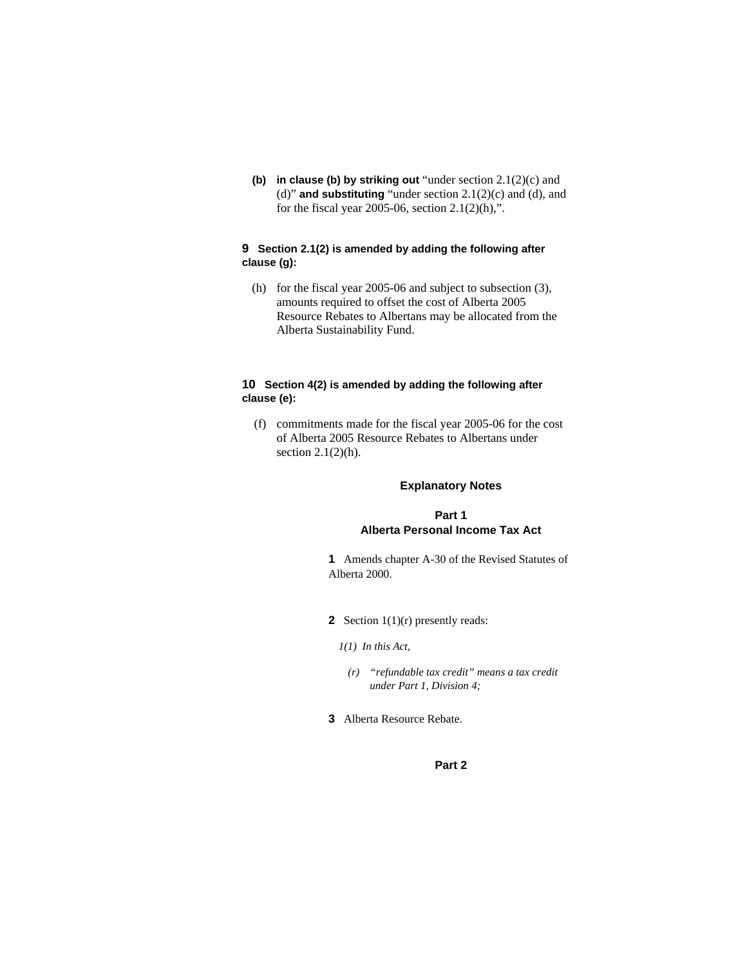**(b) in clause (b) by striking out** "under section 2.1(2)(c) and (d)" **and substituting** "under section 2.1(2)(c) and (d), and for the fiscal year 2005-06, section  $2.1(2)(h)$ ,".

## **9 Section 2.1(2) is amended by adding the following after clause (g):**

 (h) for the fiscal year 2005-06 and subject to subsection (3), amounts required to offset the cost of Alberta 2005 Resource Rebates to Albertans may be allocated from the Alberta Sustainability Fund.

#### **10 Section 4(2) is amended by adding the following after clause (e):**

 (f) commitments made for the fiscal year 2005-06 for the cost of Alberta 2005 Resource Rebates to Albertans under section  $2.1(2)(h)$ .

# **Explanatory Notes**

# **Part 1 Alberta Personal Income Tax Act**

**1** Amends chapter A-30 of the Revised Statutes of Alberta 2000.

- **2** Section 1(1)(r) presently reads:
	- *1(1) In this Act,* 
		- *(r) "refundable tax credit" means a tax credit under Part 1, Division 4;*
- **3** Alberta Resource Rebate.

# **Part 2**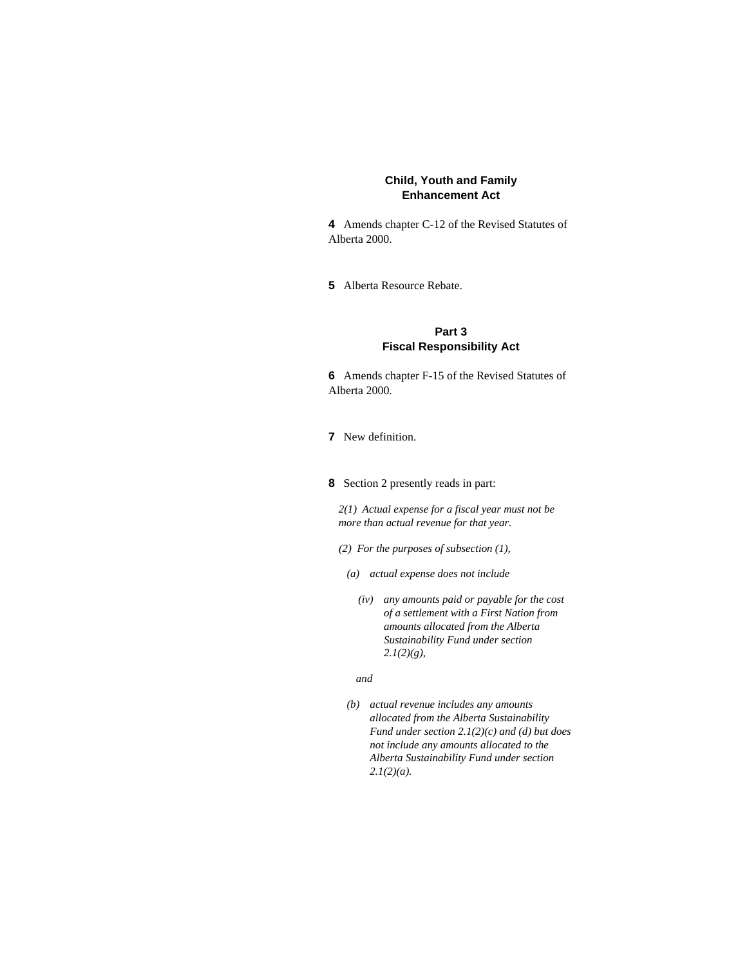# **Child, Youth and Family Enhancement Act**

**4** Amends chapter C-12 of the Revised Statutes of Alberta 2000.

**5** Alberta Resource Rebate.

# **Part 3 Fiscal Responsibility Act**

**6** Amends chapter F-15 of the Revised Statutes of Alberta 2000.

- **7** New definition.
- **8** Section 2 presently reads in part:

*2(1) Actual expense for a fiscal year must not be more than actual revenue for that year.* 

- *(2) For the purposes of subsection (1),*
- *(a) actual expense does not include* 
	- *(iv) any amounts paid or payable for the cost of a settlement with a First Nation from amounts allocated from the Alberta Sustainability Fund under section 2.1(2)(g),*

#### *and*

 *(b) actual revenue includes any amounts allocated from the Alberta Sustainability Fund under section 2.1(2)(c) and (d) but does not include any amounts allocated to the Alberta Sustainability Fund under section 2.1(2)(a).*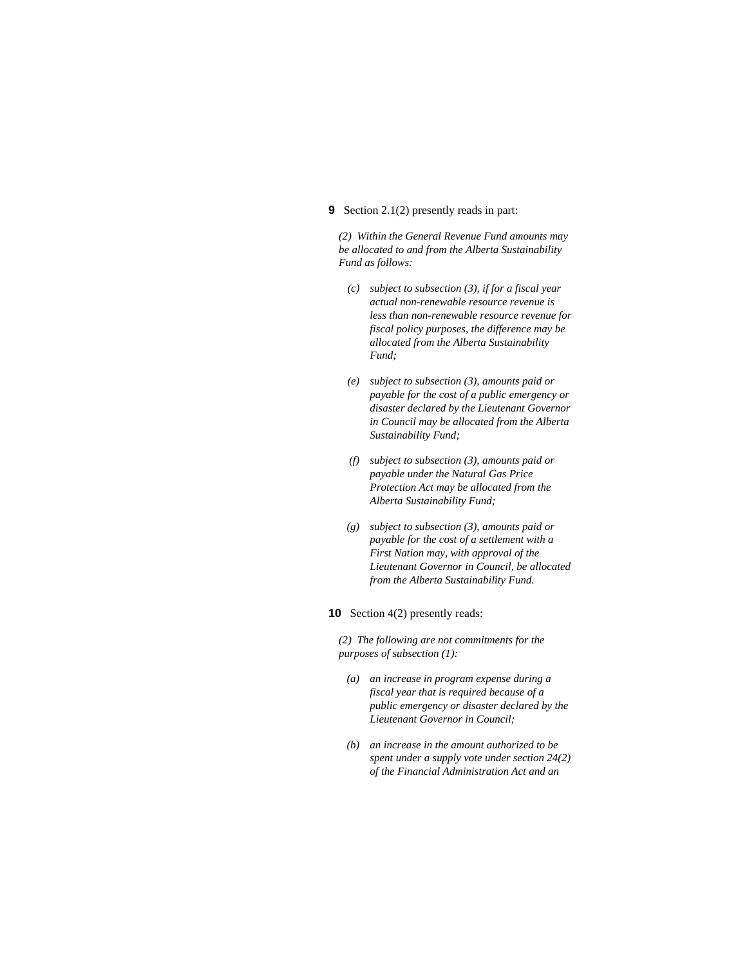#### **9** Section 2.1(2) presently reads in part:

*(2) Within the General Revenue Fund amounts may be allocated to and from the Alberta Sustainability Fund as follows:* 

- *(c) subject to subsection (3), if for a fiscal year actual non-renewable resource revenue is less than non-renewable resource revenue for fiscal policy purposes, the difference may be allocated from the Alberta Sustainability Fund;*
- *(e) subject to subsection (3), amounts paid or payable for the cost of a public emergency or disaster declared by the Lieutenant Governor in Council may be allocated from the Alberta Sustainability Fund;*
- *(f) subject to subsection (3), amounts paid or payable under the Natural Gas Price Protection Act may be allocated from the Alberta Sustainability Fund;*
- *(g) subject to subsection (3), amounts paid or payable for the cost of a settlement with a First Nation may, with approval of the Lieutenant Governor in Council, be allocated from the Alberta Sustainability Fund.*

#### **10** Section 4(2) presently reads:

*(2) The following are not commitments for the purposes of subsection (1):* 

- *(a) an increase in program expense during a fiscal year that is required because of a public emergency or disaster declared by the Lieutenant Governor in Council;*
- *(b) an increase in the amount authorized to be spent under a supply vote under section 24(2) of the Financial Administration Act and an*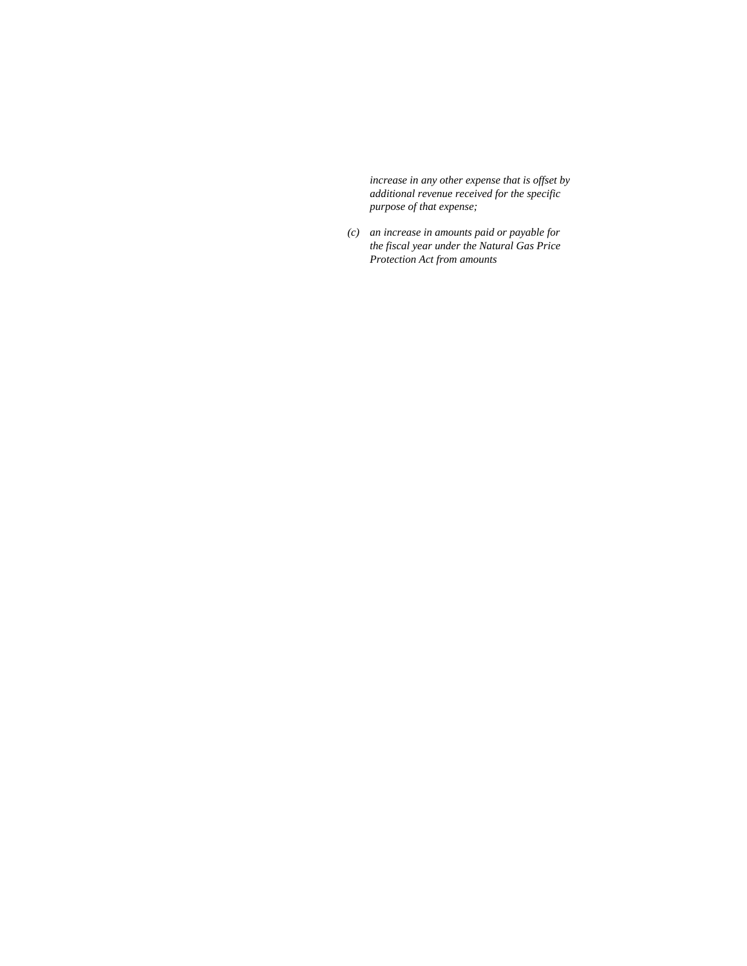*increase in any other expense that is offset by additional revenue received for the specific purpose of that expense;* 

 *(c) an increase in amounts paid or payable for the fiscal year under the Natural Gas Price Protection Act from amounts*